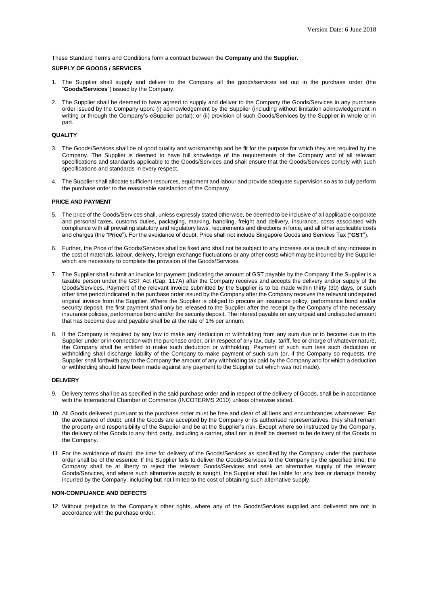These Standard Terms and Conditions form a contract between the **Company** and the **Supplier**.

# **SUPPLY OF GOODS / SERVICES**

- 1. The Supplier shall supply and deliver to the Company all the goods/services set out in the purchase order (the "**Goods/Services**") issued by the Company.
- 2. The Supplier shall be deemed to have agreed to supply and deliver to the Company the Goods/Services in any purchase order issued by the Company upon: (i) acknowledgement by the Supplier (including without limitation acknowledgement in writing or through the Company's eSupplier portal); or (ii) provision of such Goods/Services by the Supplier in whole or in part.

### **QUALITY**

- 3. The Goods/Services shall be of good quality and workmanship and be fit for the purpose for which they are required by the Company. The Supplier is deemed to have full knowledge of the requirements of the Company and of all relevant specifications and standards applicable to the Goods/Services and shall ensure that the Goods/Services comply with such specifications and standards in every respect.
- 4. The Supplier shall allocate sufficient resources, equipment and labour and provide adequate supervision so as to duly perform the purchase order to the reasonable satisfaction of the Company.

# **PRICE AND PAYMENT**

- 5. The price of the Goods/Services shall, unless expressly stated otherwise, be deemed to be inclusive of all applicable corporate and personal taxes, customs duties, packaging, marking, handling, freight and delivery, insurance, costs associated with compliance with all prevailing statutory and regulatory laws, requirements and directions in force, and all other applicable costs and charges (the "**Price**"). For the avoidance of doubt, Price shall not include Singapore Goods and Services Tax ("**GST**").
- 6. Further, the Price of the Goods/Services shall be fixed and shall not be subject to any increase as a result of any increase in the cost of materials, labour, delivery, foreign exchange fluctuations or any other costs which may be incurred by the Supplier which are necessary to complete the provision of the Goods/Services.
- 7. The Supplier shall submit an invoice for payment (indicating the amount of GST payable by the Company if the Supplier is a taxable person under the GST Act (Cap. 117A) after the Company receives and accepts the delivery and/or supply of the Goods/Services. Payment of the relevant invoice submitted by the Supplier is to be made within thirty (30) days, or such other time period indicated in the purchase order issued by the Company after the Company receives the relevant undisputed original invoice from the Supplier. Where the Supplier is obliged to procure an insurance policy, performance bond and/or security deposit, the first payment shall only be released to the Supplier after the receipt by the Company of the necessary insurance policies, performance bond and/or the security deposit. The interest payable on any unpaid and undisputed amount that has become due and payable shall be at the rate of 1% per annum.
- 8. If the Company is required by any law to make any deduction or withholding from any sum due or to become due to the Supplier under or in connection with the purchase order, or in respect of any tax, duty, tariff, fee or charge of whatever nature, the Company shall be entitled to make such deduction or withholding. Payment of such sum less such deduction or withholding shall discharge liability of the Company to make payment of such sum (or, if the Company so requests, the Supplier shall forthwith pay to the Company the amount of any withholding tax paid by the Company and for which a deduction or withholding should have been made against any payment to the Supplier but which was not made).

#### **DELIVERY**

- 9. Delivery terms shall be as specified in the said purchase order and in respect of the delivery of Goods, shall be in accordance with the International Chamber of Commerce (INCOTERMS 2010) unless otherwise stated.
- 10. All Goods delivered pursuant to the purchase order must be free and clear of all liens and encumbrances whatsoever. For the avoidance of doubt, until the Goods are accepted by the Company or its authorised representatives, they shall remain the property and responsibility of the Supplier and be at the Supplier's risk. Except where so instructed by the Company, the delivery of the Goods to any third party, including a carrier, shall not in itself be deemed to be delivery of the Goods to the Company.
- 11. For the avoidance of doubt, the time for delivery of the Goods/Services as specified by the Company under the purchase order shall be of the essence. If the Supplier fails to deliver the Goods/Services to the Company by the specified time, the Company shall be at liberty to reject the relevant Goods/Services and seek an alternative supply of the relevant Goods/Services, and where such alternative supply is sought, the Supplier shall be liable for any loss or damage thereby incurred by the Company, including but not limited to the cost of obtaining such alternative supply.

### **NON-COMPLIANCE AND DEFECTS**

12. Without prejudice to the Company's other rights, where any of the Goods/Services supplied and delivered are not in accordance with the purchase order: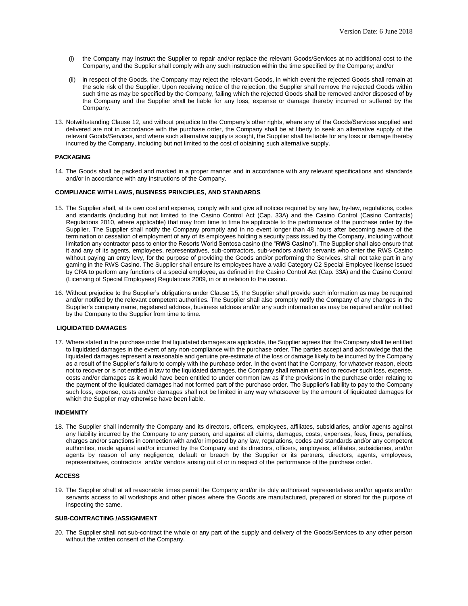- (i) the Company may instruct the Supplier to repair and/or replace the relevant Goods/Services at no additional cost to the Company, and the Supplier shall comply with any such instruction within the time specified by the Company; and/or
- (ii) in respect of the Goods, the Company may reject the relevant Goods, in which event the rejected Goods shall remain at the sole risk of the Supplier. Upon receiving notice of the rejection, the Supplier shall remove the rejected Goods within such time as may be specified by the Company, failing which the rejected Goods shall be removed and/or disposed of by the Company and the Supplier shall be liable for any loss, expense or damage thereby incurred or suffered by the Company.
- 13. Notwithstanding Clause 12, and without prejudice to the Company's other rights, where any of the Goods/Services supplied and delivered are not in accordance with the purchase order, the Company shall be at liberty to seek an alternative supply of the relevant Goods/Services, and where such alternative supply is sought, the Supplier shall be liable for any loss or damage thereby incurred by the Company, including but not limited to the cost of obtaining such alternative supply.

## **PACKAGING**

14. The Goods shall be packed and marked in a proper manner and in accordance with any relevant specifications and standards and/or in accordance with any instructions of the Company.

# **COMPLIANCE WITH LAWS, BUSINESS PRINCIPLES, AND STANDARDS**

- 15. The Supplier shall, at its own cost and expense, comply with and give all notices required by any law, by-law, regulations, codes and standards (including but not limited to the Casino Control Act (Cap. 33A) and the Casino Control (Casino Contracts) Regulations 2010, where applicable) that may from time to time be applicable to the performance of the purchase order by the Supplier. The Supplier shall notify the Company promptly and in no event longer than 48 hours after becoming aware of the termination or cessation of employment of any of its employees holding a security pass issued by the Company, including without limitation any contractor pass to enter the Resorts World Sentosa casino (the "**RWS Casino**"). The Supplier shall also ensure that it and any of its agents, employees, representatives, sub-contractors, sub-vendors and/or servants who enter the RWS Casino without paying an entry levy, for the purpose of providing the Goods and/or performing the Services, shall not take part in any gaming in the RWS Casino. The Supplier shall ensure its employees have a valid Category C2 Special Employee license issued by CRA to perform any functions of a special employee, as defined in the Casino Control Act (Cap. 33A) and the Casino Control (Licensing of Special Employees) Regulations 2009, in or in relation to the casino.
- 16. Without prejudice to the Supplier's obligations under Clause 15, the Supplier shall provide such information as may be required and/or notified by the relevant competent authorities. The Supplier shall also promptly notify the Company of any changes in the Supplier's company name, registered address, business address and/or any such information as may be required and/or notified by the Company to the Supplier from time to time.

## **LIQUIDATED DAMAGES**

17. Where stated in the purchase order that liquidated damages are applicable, the Supplier agrees that the Company shall be entitled to liquidated damages in the event of any non-compliance with the purchase order. The parties accept and acknowledge that the liquidated damages represent a reasonable and genuine pre-estimate of the loss or damage likely to be incurred by the Company as a result of the Supplier's failure to comply with the purchase order. In the event that the Company, for whatever reason, elects not to recover or is not entitled in law to the liquidated damages, the Company shall remain entitled to recover such loss, expense, costs and/or damages as it would have been entitled to under common law as if the provisions in the purchase order relating to the payment of the liquidated damages had not formed part of the purchase order. The Supplier's liability to pay to the Company such loss, expense, costs and/or damages shall not be limited in any way whatsoever by the amount of liquidated damages for which the Supplier may otherwise have been liable.

### **INDEMNITY**

18. The Supplier shall indemnify the Company and its directors, officers, employees, affiliates, subsidiaries, and/or agents against any liability incurred by the Company to any person, and against all claims, damages, costs, expenses, fees, fines, penalties, charges and/or sanctions in connection with and/or imposed by any law, regulations, codes and standards and/or any competent authorities, made against and/or incurred by the Company and its directors, officers, employees, affiliates, subsidiaries, and/or agents by reason of any negligence, default or breach by the Supplier or its partners, directors, agents, employees, representatives, contractors and/or vendors arising out of or in respect of the performance of the purchase order.

# **ACCESS**

19. The Supplier shall at all reasonable times permit the Company and/or its duly authorised representatives and/or agents and/or servants access to all workshops and other places where the Goods are manufactured, prepared or stored for the purpose of inspecting the same.

# **SUB-CONTRACTING /ASSIGNMENT**

20. The Supplier shall not sub-contract the whole or any part of the supply and delivery of the Goods/Services to any other person without the written consent of the Company.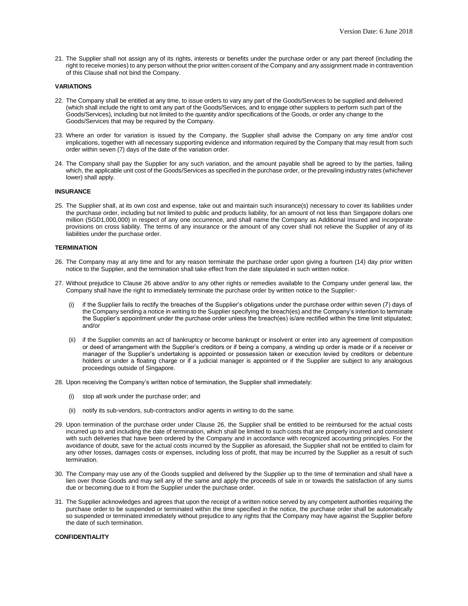21. The Supplier shall not assign any of its rights, interests or benefits under the purchase order or any part thereof (including the right to receive monies) to any person without the prior written consent of the Company and any assignment made in contravention of this Clause shall not bind the Company.

#### **VARIATIONS**

- 22. The Company shall be entitled at any time, to issue orders to vary any part of the Goods/Services to be supplied and delivered (which shall include the right to omit any part of the Goods/Services, and to engage other suppliers to perform such part of the Goods/Services), including but not limited to the quantity and/or specifications of the Goods, or order any change to the Goods/Services that may be required by the Company.
- 23. Where an order for variation is issued by the Company, the Supplier shall advise the Company on any time and/or cost implications, together with all necessary supporting evidence and information required by the Company that may result from such order within seven (7) days of the date of the variation order.
- 24. The Company shall pay the Supplier for any such variation, and the amount payable shall be agreed to by the parties, failing which, the applicable unit cost of the Goods/Services as specified in the purchase order, or the prevailing industry rates (whichever lower) shall apply.

#### **INSURANCE**

25. The Supplier shall, at its own cost and expense, take out and maintain such insurance(s) necessary to cover its liabilities under the purchase order, including but not limited to public and products liability, for an amount of not less than Singapore dollars one million (SGD1,000,000) in respect of any one occurrence, and shall name the Company as Additional Insured and incorporate provisions on cross liability. The terms of any insurance or the amount of any cover shall not relieve the Supplier of any of its liabilities under the purchase order.

### **TERMINATION**

- 26. The Company may at any time and for any reason terminate the purchase order upon giving a fourteen (14) day prior written notice to the Supplier, and the termination shall take effect from the date stipulated in such written notice.
- 27. Without prejudice to Clause 26 above and/or to any other rights or remedies available to the Company under general law, the Company shall have the right to immediately terminate the purchase order by written notice to the Supplier:
	- if the Supplier fails to rectify the breaches of the Supplier's obligations under the purchase order within seven (7) days of the Company sending a notice in writing to the Supplier specifying the breach(es) and the Company's intention to terminate the Supplier's appointment under the purchase order unless the breach(es) is/are rectified within the time limit stipulated; and/or
	- (ii) if the Supplier commits an act of bankruptcy or become bankrupt or insolvent or enter into any agreement of composition or deed of arrangement with the Supplier's creditors or if being a company, a winding up order is made or if a receiver or manager of the Supplier's undertaking is appointed or possession taken or execution levied by creditors or debenture holders or under a floating charge or if a judicial manager is appointed or if the Supplier are subject to any analogous proceedings outside of Singapore.
- 28. Upon receiving the Company's written notice of termination, the Supplier shall immediately:
	- (i) stop all work under the purchase order; and
	- (ii) notify its sub-vendors, sub-contractors and/or agents in writing to do the same.
- 29. Upon termination of the purchase order under Clause 26, the Supplier shall be entitled to be reimbursed for the actual costs incurred up to and including the date of termination, which shall be limited to such costs that are properly incurred and consistent with such deliveries that have been ordered by the Company and in accordance with recognized accounting principles. For the avoidance of doubt, save for the actual costs incurred by the Supplier as aforesaid, the Supplier shall not be entitled to claim for any other losses, damages costs or expenses, including loss of profit, that may be incurred by the Supplier as a result of such termination.
- 30. The Company may use any of the Goods supplied and delivered by the Supplier up to the time of termination and shall have a lien over those Goods and may sell any of the same and apply the proceeds of sale in or towards the satisfaction of any sums due or becoming due to it from the Supplier under the purchase order.
- 31. The Supplier acknowledges and agrees that upon the receipt of a written notice served by any competent authorities requiring the purchase order to be suspended or terminated within the time specified in the notice, the purchase order shall be automatically so suspended or terminated immediately without prejudice to any rights that the Company may have against the Supplier before the date of such termination.

#### **CONFIDENTIALITY**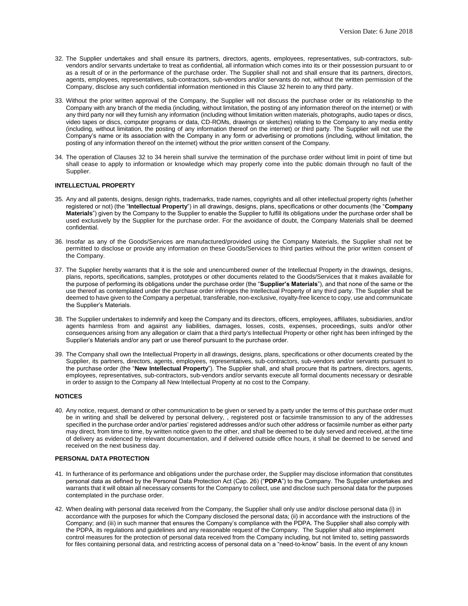- 32. The Supplier undertakes and shall ensure its partners, directors, agents, employees, representatives, sub-contractors, subvendors and/or servants undertake to treat as confidential, all information which comes into its or their possession pursuant to or as a result of or in the performance of the purchase order. The Supplier shall not and shall ensure that its partners, directors, agents, employees, representatives, sub-contractors, sub-vendors and/or servants do not, without the written permission of the Company, disclose any such confidential information mentioned in this Clause 32 herein to any third party.
- 33. Without the prior written approval of the Company, the Supplier will not discuss the purchase order or its relationship to the Company with any branch of the media (including, without limitation, the posting of any information thereof on the internet) or with any third party nor will they furnish any information (including without limitation written materials, photographs, audio tapes or discs, video tapes or discs, computer programs or data, CD-ROMs, drawings or sketches) relating to the Company to any media entity (including, without limitation, the posting of any information thereof on the internet) or third party. The Supplier will not use the Company's name or its association with the Company in any form or advertising or promotions (including, without limitation, the posting of any information thereof on the internet) without the prior written consent of the Company.
- 34. The operation of Clauses 32 to 34 herein shall survive the termination of the purchase order without limit in point of time but shall cease to apply to information or knowledge which may properly come into the public domain through no fault of the Supplier.

# **INTELLECTUAL PROPERTY**

- 35. Any and all patents, designs, design rights, trademarks, trade names, copyrights and all other intellectual property rights (whether registered or not) (the "**Intellectual Property**") in all drawings, designs, plans, specifications or other documents (the "**Company Materials**") given by the Company to the Supplier to enable the Supplier to fulfill its obligations under the purchase order shall be used exclusively by the Supplier for the purchase order. For the avoidance of doubt, the Company Materials shall be deemed confidential.
- 36. Insofar as any of the Goods/Services are manufactured/provided using the Company Materials, the Supplier shall not be permitted to disclose or provide any information on these Goods/Services to third parties without the prior written consent of the Company.
- 37. The Supplier hereby warrants that it is the sole and unencumbered owner of the Intellectual Property in the drawings, designs, plans, reports, specifications, samples, prototypes or other documents related to the Goods/Services that it makes available for the purpose of performing its obligations under the purchase order (the "**Supplier's Materials**"), and that none of the same or the use thereof as contemplated under the purchase order infringes the Intellectual Property of any third party. The Supplier shall be deemed to have given to the Company a perpetual, transferable, non-exclusive, royalty-free licence to copy, use and communicate the Supplier's Materials.
- 38. The Supplier undertakes to indemnify and keep the Company and its directors, officers, employees, affiliates, subsidiaries, and/or agents harmless from and against any liabilities, damages, losses, costs, expenses, proceedings, suits and/or other consequences arising from any allegation or claim that a third party's Intellectual Property or other right has been infringed by the Supplier's Materials and/or any part or use thereof pursuant to the purchase order.
- 39. The Company shall own the Intellectual Property in all drawings, designs, plans, specifications or other documents created by the Supplier, its partners, directors, agents, employees, representatives, sub-contractors, sub-vendors and/or servants pursuant to the purchase order (the "**New Intellectual Property**"). The Supplier shall, and shall procure that its partners, directors, agents, employees, representatives, sub-contractors, sub-vendors and/or servants execute all formal documents necessary or desirable in order to assign to the Company all New Intellectual Property at no cost to the Company.

# **NOTICES**

40. Any notice, request, demand or other communication to be given or served by a party under the terms of this purchase order must be in writing and shall be delivered by personal delivery, , registered post or facsimile transmission to any of the addresses specified in the purchase order and/or parties' registered addresses and/or such other address or facsimile number as either party may direct, from time to time, by written notice given to the other, and shall be deemed to be duly served and received, at the time of delivery as evidenced by relevant documentation, and if delivered outside office hours, it shall be deemed to be served and received on the next business day.

## **PERSONAL DATA PROTECTION**

- 41. In furtherance of its performance and obligations under the purchase order, the Supplier may disclose information that constitutes personal data as defined by the Personal Data Protection Act (Cap. 26) ("**PDPA**") to the Company. The Supplier undertakes and warrants that it will obtain all necessary consents for the Company to collect, use and disclose such personal data for the purposes contemplated in the purchase order.
- 42. When dealing with personal data received from the Company, the Supplier shall only use and/or disclose personal data (i) in accordance with the purposes for which the Company disclosed the personal data; (ii) in accordance with the instructions of the Company; and (iii) in such manner that ensures the Company's compliance with the PDPA. The Supplier shall also comply with the PDPA, its regulations and guidelines and any reasonable request of the Company. The Supplier shall also implement control measures for the protection of personal data received from the Company including, but not limited to, setting passwords for files containing personal data, and restricting access of personal data on a "need-to-know" basis. In the event of any known